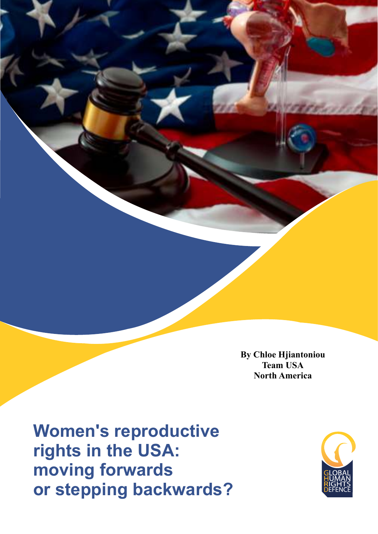**By Chloe Hjiantoniou Team USA North America** 

**Women's reproductive rights in the USA: moving forwards or stepping backwards?**

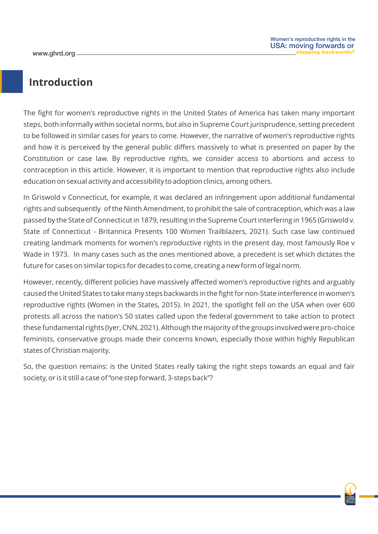## **Introduction**

The fight for women's reproductive rights in the United States of America has taken many important steps, both informally within societal norms, but also in Supreme Court jurisprudence, setting precedent to be followed in similar cases for years to come. However, the narrative of women's reproductive rights and how it is perceived by the general public differs massively to what is presented on paper by the Constitution or case law. By reproductive rights, we consider access to abortions and access to contraception in this article. However, it is important to mention that reproductive rights also include education on sexual activity and accessibility to adoption clinics, among others.

In Griswold v Connecticut, for example, it was declared an infringement upon additional fundamental rights and subsequently of the Ninth Amendment, to prohibit the sale of contraception, which was a law passed by the State of Connecticut in 1879, resulting in the Supreme Court interfering in 1965 (Griswold v. State of Connecticut - Britannica Presents 100 Women Trailblazers, 2021). Such case law continued creating landmark moments for women's reproductive rights in the present day, most famously Roe v Wade in 1973. In many cases such as the ones mentioned above, a precedent is set which dictates the future for cases on similar topics for decades to come, creating a new form of legal norm.

However, recently, different policies have massively affected women's reproductive rights and arguably caused the United States to take many steps backwards in the fight for non-State interference in women's reproductive rights (Women in the States, 2015). In 2021, the spotlight fell on the USA when over 600 protests all across the nation's 50 states called upon the federal government to take action to protect these fundamental rights (Iyer, CNN, 2021). Although the majority of the groups involved were pro-choice feminists, conservative groups made their concerns known, especially those within highly Republican states of Christian majority.

So, the question remains: is the United States really taking the right steps towards an equal and fair society, or is it still a case of "one step forward, 3-steps back"?

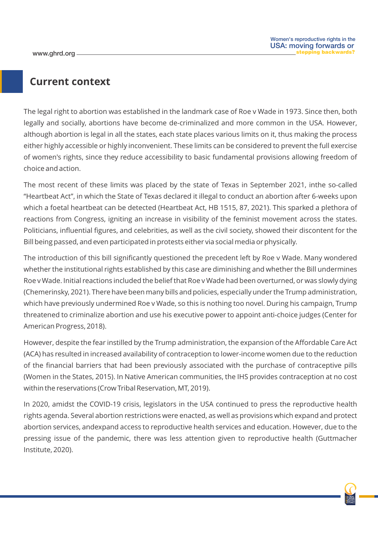## **Current context**

The legal right to abortion was established in the landmark case of Roe v Wade in 1973. Since then, both legally and socially, abortions have become de-criminalized and more common in the USA. However, although abortion is legal in all the states, each state places various limits on it, thus making the process either highly accessible or highly inconvenient. These limits can be considered to prevent the full exercise of women's rights, since they reduce accessibility to basic fundamental provisions allowing freedom of choice and action.

The most recent of these limits was placed by the state of Texas in September 2021, inthe so-called "Heartbeat Act", in which the State of Texas declared it illegal to conduct an abortion after 6-weeks upon which a foetal heartbeat can be detected (Heartbeat Act, HB 1515, 87, 2021). This sparked a plethora of reactions from Congress, igniting an increase in visibility of the feminist movement across the states. Politicians, influential figures, and celebrities, as well as the civil society, showed their discontent for the Bill being passed, and even participated in protests either via social media or physically.

The introduction of this bill significantly questioned the precedent left by Roe v Wade. Many wondered whether the institutional rights established by this case are diminishing and whether the Bill undermines Roe v Wade. Initial reactions included the belief that Roe v Wade had been overturned, or was slowly dying (Chemerinsky, 2021). There have been many bills and policies, especially under the Trump administration, which have previously undermined Roe v Wade, so this is nothing too novel. During his campaign, Trump threatened to criminalize abortion and use his executive power to appoint anti-choice judges (Center for American Progress, 2018).

However, despite the fear instilled by the Trump administration, the expansion of the Affordable Care Act (ACA) has resulted in increased availability of contraception to lower-income women due to the reduction of the financial barriers that had been previously associated with the purchase of contraceptive pills (Women in the States, 2015). In Native American communities, the IHS provides contraception at no cost within the reservations (Crow Tribal Reservation, MT, 2019).

In 2020, amidst the COVID-19 crisis, legislators in the USA continued to press the reproductive health rights agenda. Several abortion restrictions were enacted, as well as provisions which expand and protect abortion services, andexpand access to reproductive health services and education. However, due to the pressing issue of the pandemic, there was less attention given to reproductive health (Guttmacher Institute, 2020).

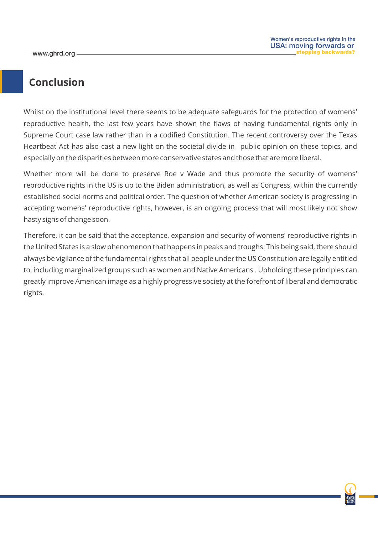## **Conclusion**

Whilst on the institutional level there seems to be adequate safeguards for the protection of womens' reproductive health, the last few years have shown the flaws of having fundamental rights only in Supreme Court case law rather than in a codified Constitution. The recent controversy over the Texas Heartbeat Act has also cast a new light on the societal divide in public opinion on these topics, and especially on the disparities between more conservative states and those that are more liberal.

Whether more will be done to preserve Roe v Wade and thus promote the security of womens' reproductive rights in the US is up to the Biden administration, as well as Congress, within the currently established social norms and political order. The question of whether American society is progressing in accepting womens' reproductive rights, however, is an ongoing process that will most likely not show hasty signs of change soon.

Therefore, it can be said that the acceptance, expansion and security of womens' reproductive rights in the United States is a slow phenomenon that happens in peaks and troughs. This being said, there should always be vigilance of the fundamental rights that all people under the US Constitution are legally entitled to, including marginalized groups such as women and Native Americans . Upholding these principles can greatly improve American image as a highly progressive society at the forefront of liberal and democratic rights.

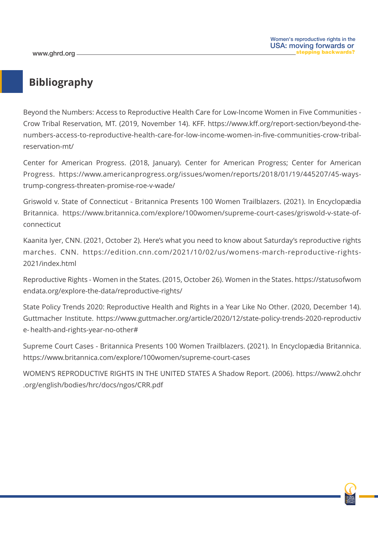## **Bibliography**

Beyond the Numbers: Access to Reproductive Health Care for Low-Income Women in Five Communities - Crow Tribal Reservation, MT. (2019, November 14). KFF. https://www.kff.org/report-section/beyond-thenumbers-access-to-reproductive-health-care-for-low-income-women-in-five-communities-crow-tribalreservation-mt/

Center for American Progress. (2018, January). Center for American Progress; Center for American Progress. https://www.americanprogress.org/issues/women/reports/2018/01/19/445207/45-waystrump-congress-threaten-promise-roe-v-wade/

Griswold v. State of Connecticut - Britannica Presents 100 Women Trailblazers. (2021). In Encyclopædia Britannica. https://www.britannica.com/explore/100women/supreme-court-cases/griswold-v-state-ofconnecticut

Kaanita Iyer, CNN. (2021, October 2). Here's what you need to know about Saturday's reproductive rights marches. CNN. https://edition.cnn.com/2021/10/02/us/womens-march-reproductive-rights-2021/index.html

Reproductive Rights - Women in the States. (2015, October 26). Women in the States. https://statusofwom endata.org/explore-the-data/reproductive-rights/

State Policy Trends 2020: Reproductive Health and Rights in a Year Like No Other. (2020, December 14). Guttmacher Institute. https://www.guttmacher.org/article/2020/12/state-policy-trends-2020-reproductiv e- health-and-rights-year-no-other#

Supreme Court Cases - Britannica Presents 100 Women Trailblazers. (2021). In Encyclopædia Britannica. https://www.britannica.com/explore/100women/supreme-court-cases

WOMEN'S REPRODUCTIVE RIGHTS IN THE UNITED STATES A Shadow Report. (2006). https://www2.ohchr .org/english/bodies/hrc/docs/ngos/CRR.pdf